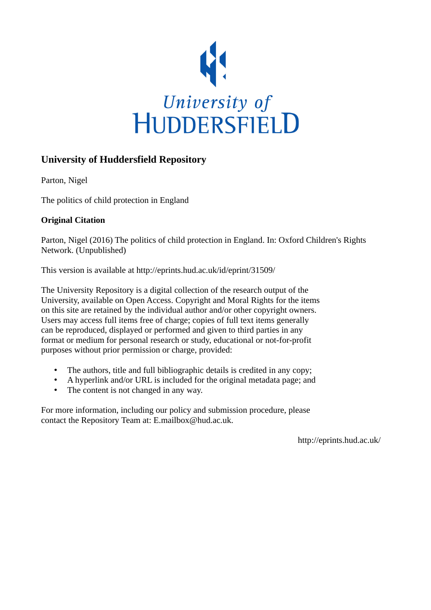

#### **University of Huddersfield Repository**

Parton, Nigel

The politics of child protection in England

#### **Original Citation**

Parton, Nigel (2016) The politics of child protection in England. In: Oxford Children's Rights Network. (Unpublished)

This version is available at http://eprints.hud.ac.uk/id/eprint/31509/

The University Repository is a digital collection of the research output of the University, available on Open Access. Copyright and Moral Rights for the items on this site are retained by the individual author and/or other copyright owners. Users may access full items free of charge; copies of full text items generally can be reproduced, displayed or performed and given to third parties in any format or medium for personal research or study, educational or not-for-profit purposes without prior permission or charge, provided:

- The authors, title and full bibliographic details is credited in any copy;
- A hyperlink and/or URL is included for the original metadata page; and
- The content is not changed in any way.

For more information, including our policy and submission procedure, please contact the Repository Team at: E.mailbox@hud.ac.uk.

http://eprints.hud.ac.uk/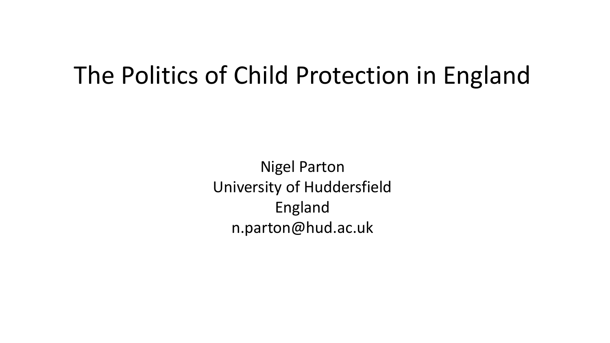#### The Politics of Child Protection in England

Nigel Parton University of Huddersfield England n.parton@hud.ac.uk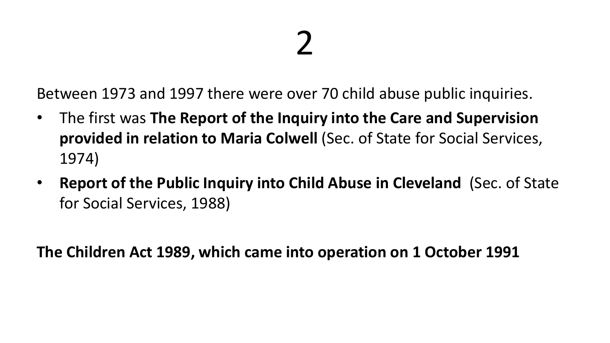Between 1973 and 1997 there were over 70 child abuse public inquiries.

- The first was **The Report of the Inquiry into the Care and Supervision provided in relation to Maria Colwell** (Sec. of State for Social Services, 1974)
- **Report of the Public Inquiry into Child Abuse in Cleveland** (Sec. of State for Social Services, 1988)

**The Children Act 1989, which came into operation on 1 October 1991**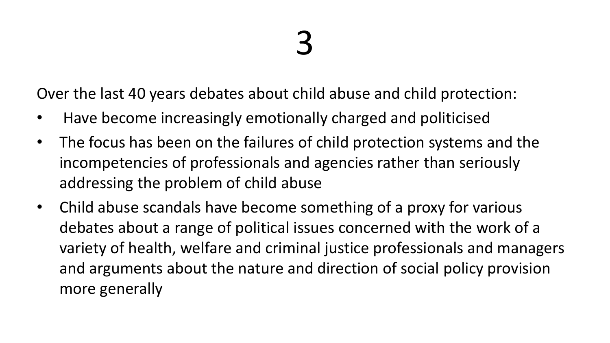Over the last 40 years debates about child abuse and child protection:

- Have become increasingly emotionally charged and politicised
- The focus has been on the failures of child protection systems and the incompetencies of professionals and agencies rather than seriously addressing the problem of child abuse
- Child abuse scandals have become something of a proxy for various debates about a range of political issues concerned with the work of a variety of health, welfare and criminal justice professionals and managers and arguments about the nature and direction of social policy provision more generally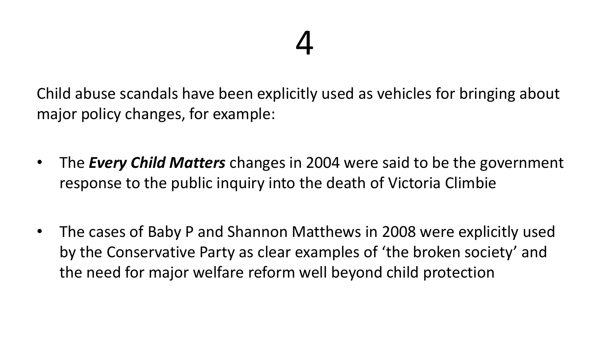Child abuse scandals have been explicitly used as vehicles for bringing about major policy changes, for example:

- The *Every Child Matters* changes in 2004 were said to be the government response to the public inquiry into the death of Victoria Climbie
- The cases of Baby P and Shannon Matthews in 2008 were explicitly used by the Conservative Party as clear examples of 'the broken society' and the need for major welfare reform well beyond child protection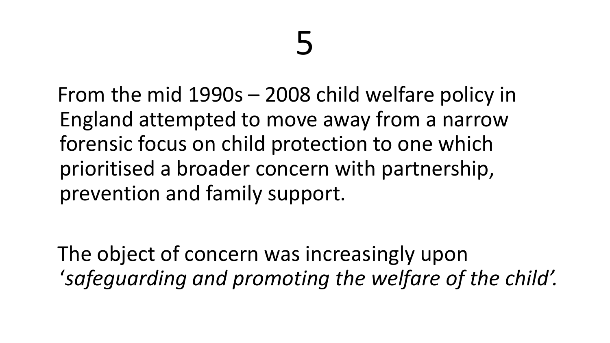From the mid 1990s – 2008 child welfare policy in England attempted to move away from a narrow forensic focus on child protection to one which prioritised a broader concern with partnership, prevention and family support.

The object of concern was increasingly upon '*safeguarding and promoting the welfare of the child'.*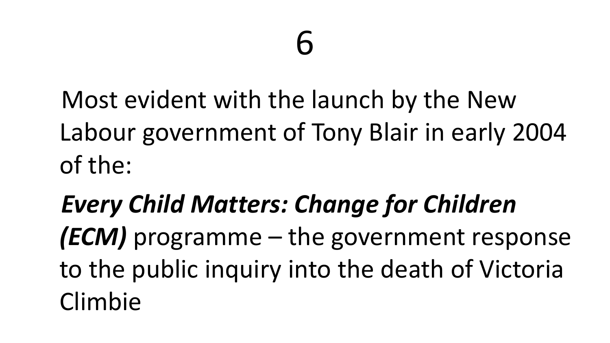Most evident with the launch by the New Labour government of Tony Blair in early 2004 of the:

*Every Child Matters: Change for Children (ECM)* programme – the government response to the public inquiry into the death of Victoria Climbie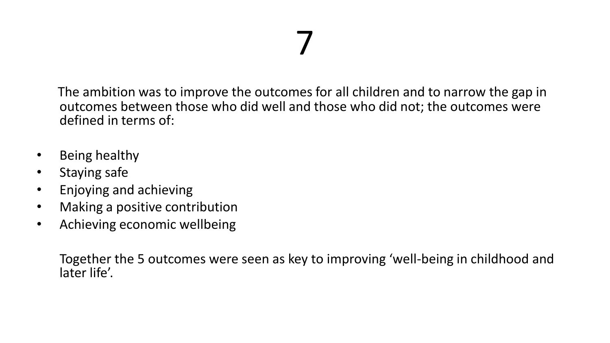The ambition was to improve the outcomes for all children and to narrow the gap in outcomes between those who did well and those who did not; the outcomes were defined in terms of:

- Being healthy
- Staying safe
- Enjoying and achieving
- Making a positive contribution
- Achieving economic wellbeing

Together the 5 outcomes were seen as key to improving 'well-being in childhood and later life'.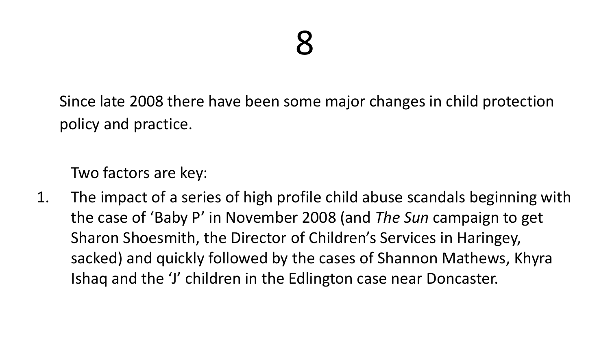Since late 2008 there have been some major changes in child protection policy and practice.

Two factors are key:

1. The impact of a series of high profile child abuse scandals beginning with the case of 'Baby P' in November 2008 (and *The Sun* campaign to get Sharon Shoesmith, the Director of Children's Services in Haringey, sacked) and quickly followed by the cases of Shannon Mathews, Khyra Ishaq and the 'J' children in the Edlington case near Doncaster.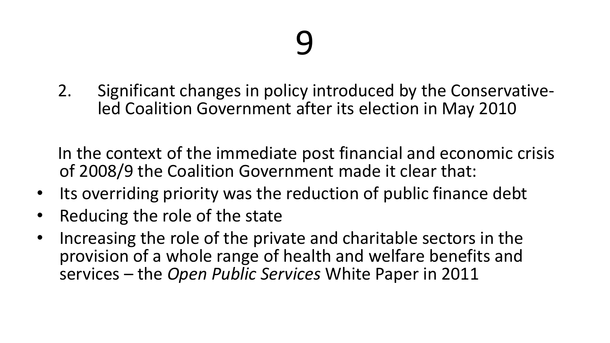2. Significant changes in policy introduced by the Conservativeled Coalition Government after its election in May 2010

In the context of the immediate post financial and economic crisis of 2008/9 the Coalition Government made it clear that:

- Its overriding priority was the reduction of public finance debt
- Reducing the role of the state
- Increasing the role of the private and charitable sectors in the provision of a whole range of health and welfare benefits and services – the *Open Public Services* White Paper in 2011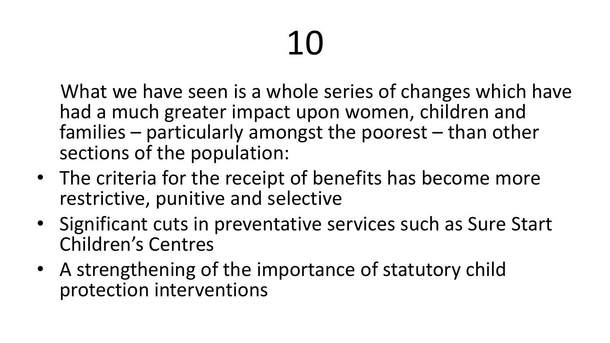What we have seen is a whole series of changes which have had a much greater impact upon women, children and families – particularly amongst the poorest – than other sections of the population:

- The criteria for the receipt of benefits has become more restrictive, punitive and selective
- Significant cuts in preventative services such as Sure Start Children's Centres
- A strengthening of the importance of statutory child protection interventions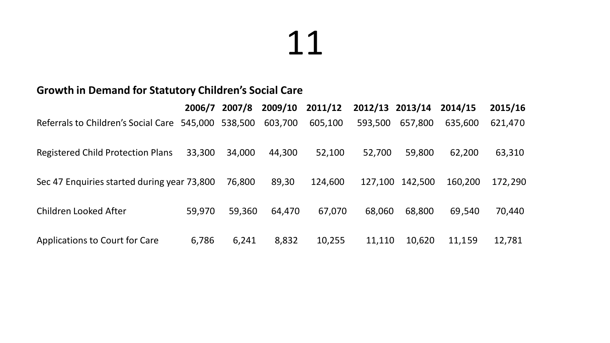#### **Growth in Demand for Statutory Children's Social Care**

|                                                     | 2006/7 | 2007/8 | 2009/10 | 2011/12 | 2012/13 2013/14 |         | 2014/15 | 2015/16 |
|-----------------------------------------------------|--------|--------|---------|---------|-----------------|---------|---------|---------|
| Referrals to Children's Social Care 545,000 538,500 |        |        | 603,700 | 605,100 | 593,500         | 657,800 | 635,600 | 621,470 |
| Registered Child Protection Plans                   | 33,300 | 34,000 | 44,300  | 52,100  | 52,700          | 59,800  | 62,200  | 63,310  |
| Sec 47 Enquiries started during year 73,800         |        | 76,800 | 89,30   | 124,600 | 127.100         | 142,500 | 160,200 | 172,290 |
| Children Looked After                               | 59,970 | 59,360 | 64,470  | 67,070  | 68,060          | 68,800  | 69,540  | 70,440  |
| Applications to Court for Care                      | 6,786  | 6,241  | 8,832   | 10,255  | 11,110          | 10,620  | 11,159  | 12,781  |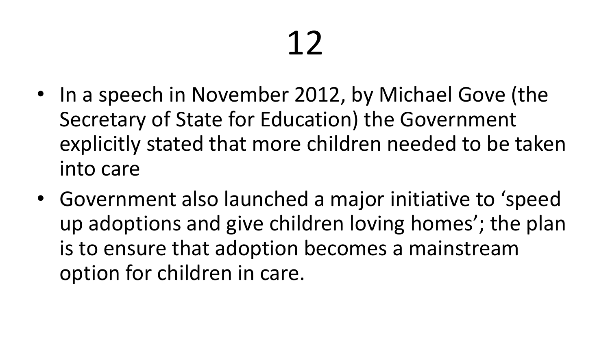- In a speech in November 2012, by Michael Gove (the Secretary of State for Education) the Government explicitly stated that more children needed to be taken into care
- Government also launched a major initiative to 'speed up adoptions and give children loving homes'; the plan is to ensure that adoption becomes a mainstream option for children in care.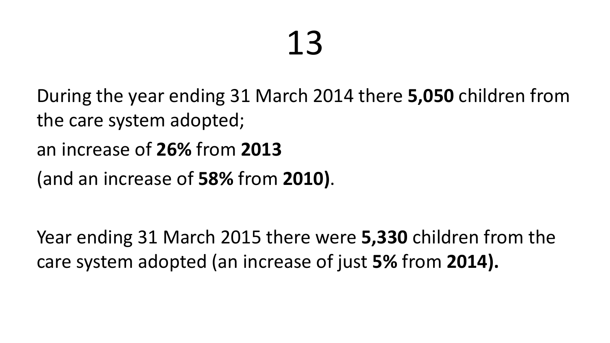During the year ending 31 March 2014 there **5,050** children from the care system adopted;

an increase of **26%** from **2013**

(and an increase of **58%** from **2010)**.

Year ending 31 March 2015 there were **5,330** children from the care system adopted (an increase of just **5%** from **2014).**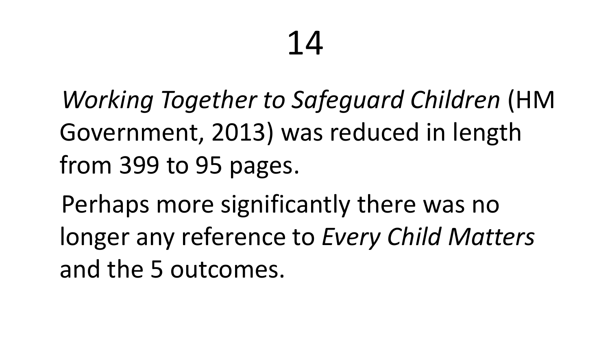*Working Together to Safeguard Children* (HM Government, 2013) was reduced in length from 399 to 95 pages.

Perhaps more significantly there was no longer any reference to *Every Child Matters*  and the 5 outcomes.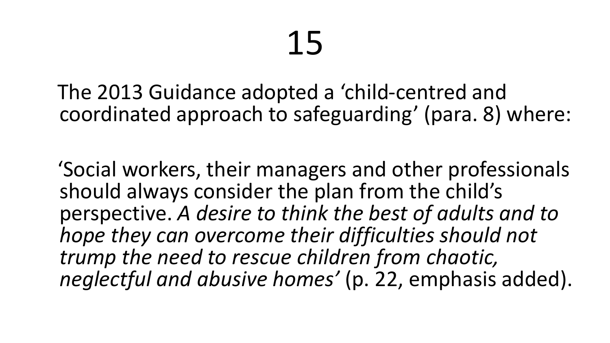The 2013 Guidance adopted a 'child-centred and coordinated approach to safeguarding' (para. 8) where:

'Social workers, their managers and other professionals should always consider the plan from the child's perspective. *A desire to think the best of adults and to hope they can overcome their difficulties should not trump the need to rescue children from chaotic, neglectful and abusive homes'* (p. 22, emphasis added).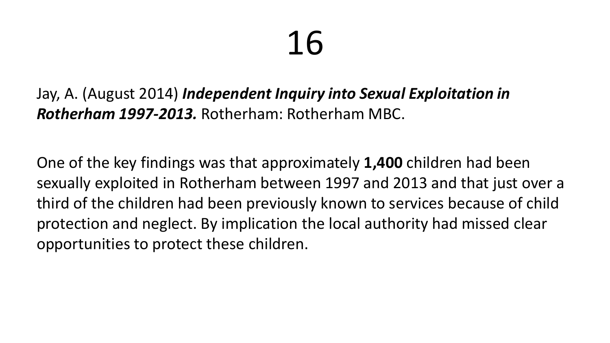Jay, A. (August 2014) *Independent Inquiry into Sexual Exploitation in Rotherham 1997-2013.* Rotherham: Rotherham MBC.

One of the key findings was that approximately **1,400** children had been sexually exploited in Rotherham between 1997 and 2013 and that just over a third of the children had been previously known to services because of child protection and neglect. By implication the local authority had missed clear opportunities to protect these children.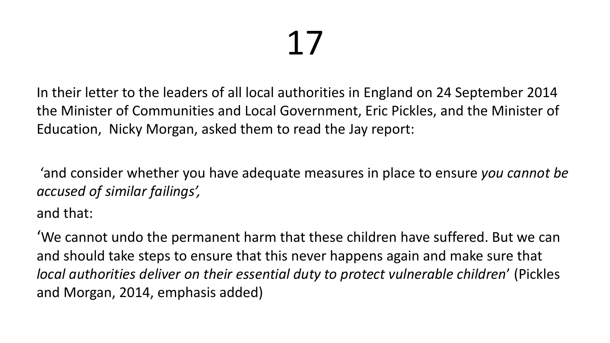In their letter to the leaders of all local authorities in England on 24 September 2014 the Minister of Communities and Local Government, Eric Pickles, and the Minister of Education, Nicky Morgan, asked them to read the Jay report:

'and consider whether you have adequate measures in place to ensure *you cannot be accused of similar failings',* 

and that:

'We cannot undo the permanent harm that these children have suffered. But we can and should take steps to ensure that this never happens again and make sure that *local authorities deliver on their essential duty to protect vulnerable children*' (Pickles and Morgan, 2014, emphasis added)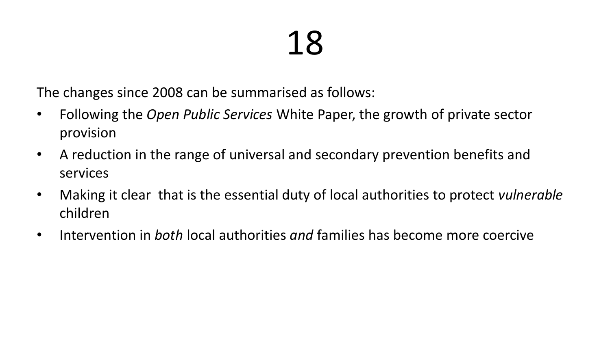The changes since 2008 can be summarised as follows:

- Following the *Open Public Services* White Paper, the growth of private sector provision
- A reduction in the range of universal and secondary prevention benefits and services
- Making it clear that is the essential duty of local authorities to protect *vulnerable*  children
- Intervention in *both* local authorities *and* families has become more coercive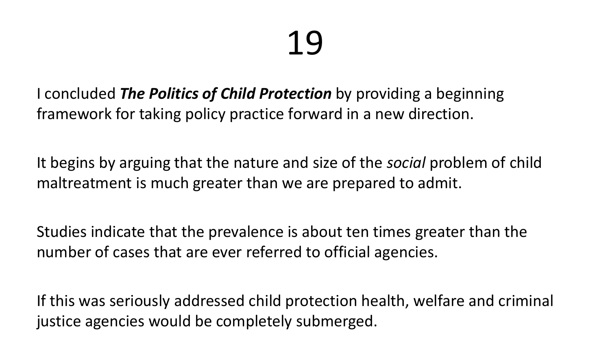I concluded *The Politics of Child Protection* by providing a beginning framework for taking policy practice forward in a new direction.

It begins by arguing that the nature and size of the *social* problem of child maltreatment is much greater than we are prepared to admit.

Studies indicate that the prevalence is about ten times greater than the number of cases that are ever referred to official agencies.

If this was seriously addressed child protection health, welfare and criminal justice agencies would be completely submerged.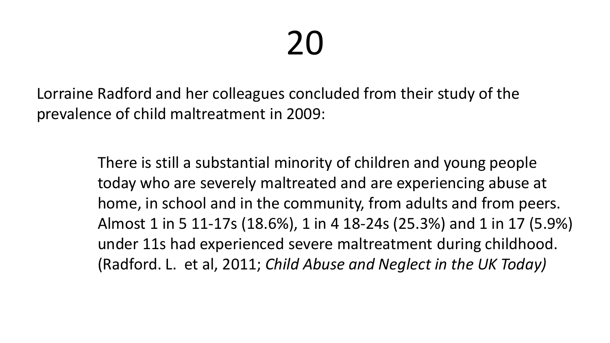Lorraine Radford and her colleagues concluded from their study of the prevalence of child maltreatment in 2009:

> There is still a substantial minority of children and young people today who are severely maltreated and are experiencing abuse at home, in school and in the community, from adults and from peers. Almost 1 in 5 11-17s (18.6%), 1 in 4 18-24s (25.3%) and 1 in 17 (5.9%) under 11s had experienced severe maltreatment during childhood. (Radford. L. et al, 2011; *Child Abuse and Neglect in the UK Today)*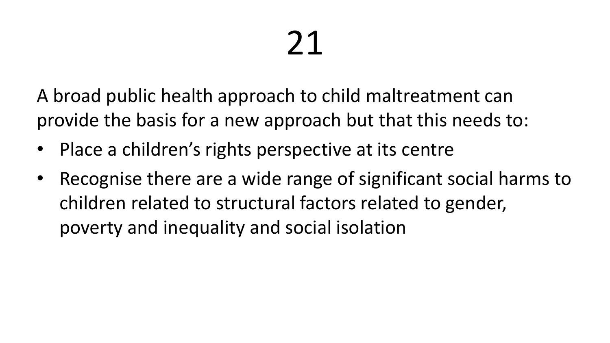A broad public health approach to child maltreatment can provide the basis for a new approach but that this needs to:

- Place a children's rights perspective at its centre
- Recognise there are a wide range of significant social harms to children related to structural factors related to gender, poverty and inequality and social isolation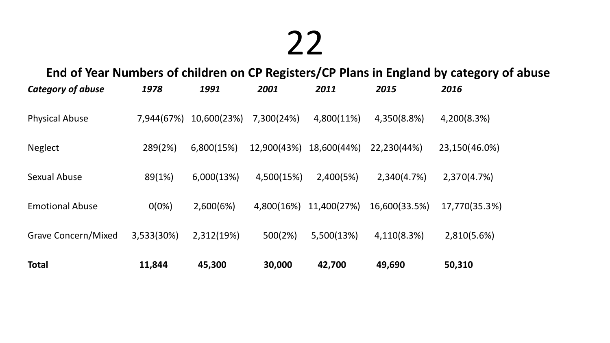#### **End of Year Numbers of children on CP Registers/CP Plans in England by category of abuse**

| Category of abuse      | 1978       | 1991        | 2001        | 2011        | 2015          | 2016          |
|------------------------|------------|-------------|-------------|-------------|---------------|---------------|
| <b>Physical Abuse</b>  | 7,944(67%) | 10,600(23%) | 7,300(24%)  | 4,800(11%)  | 4,350(8.8%)   | 4,200(8.3%)   |
| Neglect                | 289(2%)    | 6,800(15%)  | 12,900(43%) | 18,600(44%) | 22,230(44%)   | 23,150(46.0%) |
| Sexual Abuse           | 89(1%)     | 6,000(13%)  | 4,500(15%)  | 2,400(5%)   | 2,340(4.7%)   | 2,370(4.7%)   |
| <b>Emotional Abuse</b> | $0(0\%)$   | 2,600(6%)   | 4,800(16%)  | 11,400(27%) | 16,600(33.5%) | 17,770(35.3%) |
| Grave Concern/Mixed    | 3,533(30%) | 2,312(19%)  | 500(2%)     | 5,500(13%)  | 4,110(8.3%)   | 2,810(5.6%)   |
| <b>Total</b>           | 11,844     | 45,300      | 30,000      | 42,700      | 49,690        | 50,310        |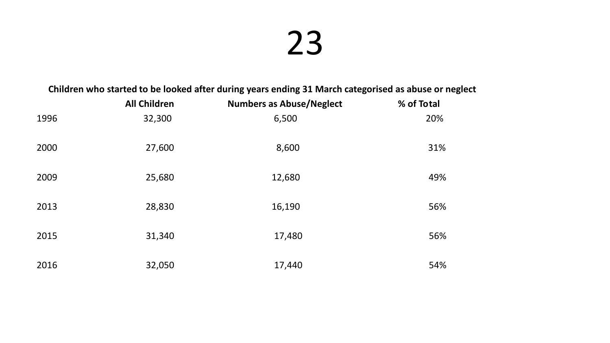#### **Children who started to be looked after during years ending 31 March categorised as abuse or neglect**

|      | <b>All Children</b> | <b>Numbers as Abuse/Neglect</b> | % of Total |
|------|---------------------|---------------------------------|------------|
| 1996 | 32,300              | 6,500                           | 20%        |
| 2000 | 27,600              | 8,600                           | 31%        |
| 2009 | 25,680              | 12,680                          | 49%        |
| 2013 | 28,830              | 16,190                          | 56%        |
| 2015 | 31,340              | 17,480                          | 56%        |
| 2016 | 32,050              | 17,440                          | 54%        |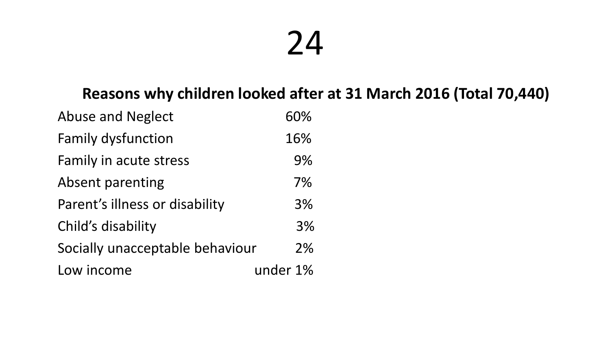#### **Reasons why children looked after at 31 March 2016 (Total 70,440)**

| <b>Abuse and Neglect</b>        | 60%      |
|---------------------------------|----------|
| <b>Family dysfunction</b>       | 16%      |
| Family in acute stress          | 9%       |
| Absent parenting                | 7%       |
| Parent's illness or disability  | 3%       |
| Child's disability              | 3%       |
| Socially unacceptable behaviour | 2%       |
| Low income                      | under 1% |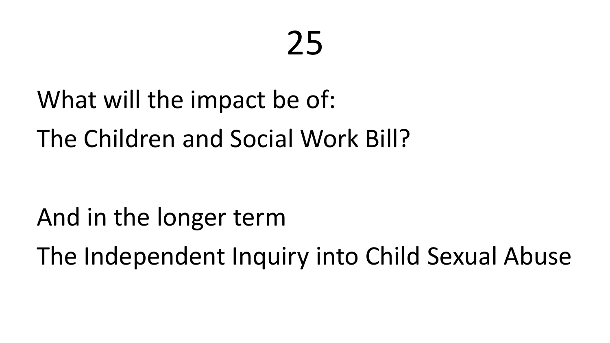## What will the impact be of:

The Children and Social Work Bill?

And in the longer term

The Independent Inquiry into Child Sexual Abuse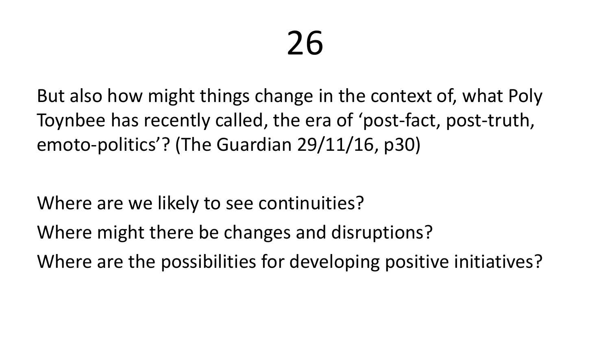But also how might things change in the context of, what Poly Toynbee has recently called, the era of 'post-fact, post-truth, emoto-politics'? (The Guardian 29/11/16, p30)

Where are we likely to see continuities?

Where might there be changes and disruptions?

Where are the possibilities for developing positive initiatives?